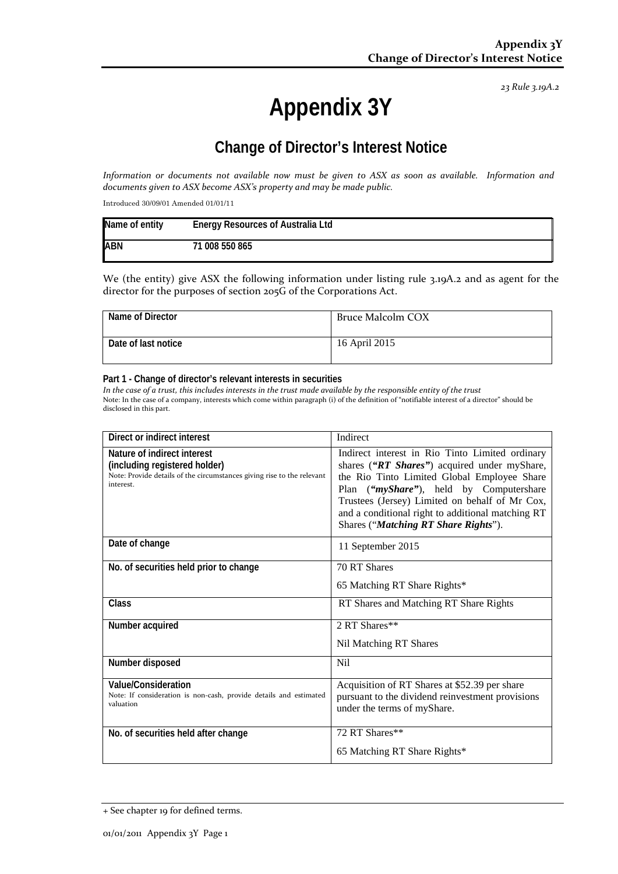*23 Rule 3.19A.2*

# **Appendix 3Y**

### **Change of Director's Interest Notice**

*Information or documents not available now must be given to ASX as soon as available. Information and documents given to ASX become ASX's property and may be made public.*

Introduced 30/09/01 Amended 01/01/11

| Name of entity | <b>Energy Resources of Australia Ltd</b> |
|----------------|------------------------------------------|
| <b>ABN</b>     | 71 008 550 865                           |

We (the entity) give ASX the following information under listing rule 3.19A.2 and as agent for the director for the purposes of section 205G of the Corporations Act.

| Name of Director    | Bruce Malcolm COX |
|---------------------|-------------------|
| Date of last notice | 16 April 2015     |

#### **Part 1 - Change of director's relevant interests in securities**

*In the case of a trust, this includes interests in the trust made available by the responsible entity of the trust* Note: In the case of a company, interests which come within paragraph (i) of the definition of "notifiable interest of a director" should be disclosed in this part.

| Direct or indirect interest                                                                                                                         | Indirect                                                                                                                                                                                                                                                                                                                                 |
|-----------------------------------------------------------------------------------------------------------------------------------------------------|------------------------------------------------------------------------------------------------------------------------------------------------------------------------------------------------------------------------------------------------------------------------------------------------------------------------------------------|
| Nature of indirect interest<br>(including registered holder)<br>Note: Provide details of the circumstances giving rise to the relevant<br>interest. | Indirect interest in Rio Tinto Limited ordinary<br>shares ("RT Shares") acquired under myShare,<br>the Rio Tinto Limited Global Employee Share<br>Plan ("myShare"), held by Computershare<br>Trustees (Jersey) Limited on behalf of Mr Cox,<br>and a conditional right to additional matching RT<br>Shares ("Matching RT Share Rights"). |
| Date of change                                                                                                                                      | 11 September 2015                                                                                                                                                                                                                                                                                                                        |
| No. of securities held prior to change                                                                                                              | 70 RT Shares<br>65 Matching RT Share Rights*                                                                                                                                                                                                                                                                                             |
| Class                                                                                                                                               | RT Shares and Matching RT Share Rights                                                                                                                                                                                                                                                                                                   |
| Number acquired                                                                                                                                     | 2 RT Shares**                                                                                                                                                                                                                                                                                                                            |
|                                                                                                                                                     | Nil Matching RT Shares                                                                                                                                                                                                                                                                                                                   |
| Number disposed                                                                                                                                     | <b>Nil</b>                                                                                                                                                                                                                                                                                                                               |
| Value/Consideration<br>Note: If consideration is non-cash, provide details and estimated<br>valuation                                               | Acquisition of RT Shares at \$52.39 per share<br>pursuant to the dividend reinvestment provisions<br>under the terms of myShare.                                                                                                                                                                                                         |
| No. of securities held after change                                                                                                                 | 72 RT Shares**                                                                                                                                                                                                                                                                                                                           |
|                                                                                                                                                     | 65 Matching RT Share Rights*                                                                                                                                                                                                                                                                                                             |

<sup>+</sup> See chapter 19 for defined terms.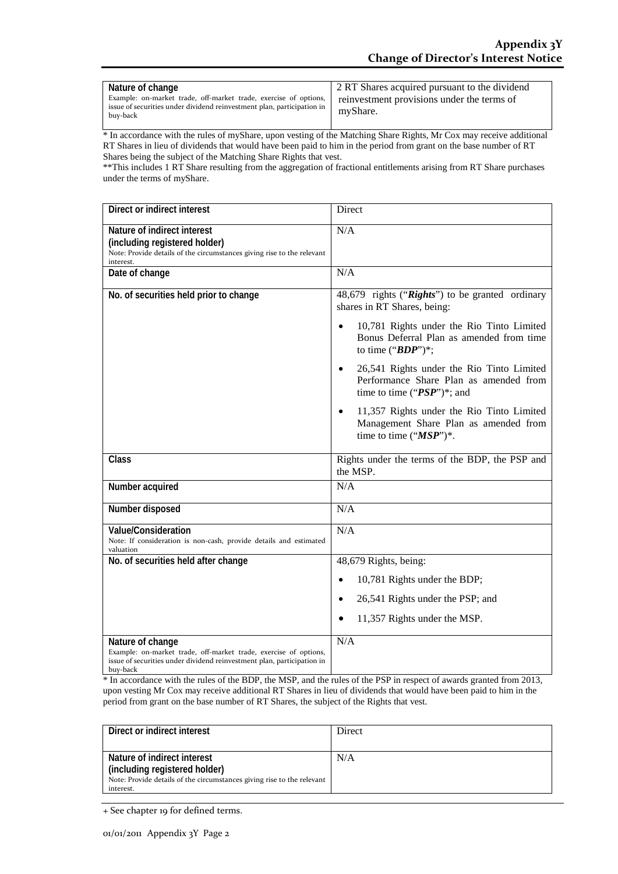| Nature of change<br>Example: on-market trade, off-market trade, exercise of options,<br>issue of securities under dividend reinvestment plan, participation in<br>buy-back | 2 RT Shares acquired pursuant to the dividend<br>reinvestment provisions under the terms of<br>myShare. |
|----------------------------------------------------------------------------------------------------------------------------------------------------------------------------|---------------------------------------------------------------------------------------------------------|
|----------------------------------------------------------------------------------------------------------------------------------------------------------------------------|---------------------------------------------------------------------------------------------------------|

\* In accordance with the rules of myShare, upon vesting of the Matching Share Rights, Mr Cox may receive additional RT Shares in lieu of dividends that would have been paid to him in the period from grant on the base number of RT Shares being the subject of the Matching Share Rights that vest.

\*\*This includes 1 RT Share resulting from the aggregation of fractional entitlements arising from RT Share purchases under the terms of myShare.

| Direct or indirect interest                                                                                                                                                | Direct                                                                                                                             |
|----------------------------------------------------------------------------------------------------------------------------------------------------------------------------|------------------------------------------------------------------------------------------------------------------------------------|
| Nature of indirect interest<br>(including registered holder)<br>Note: Provide details of the circumstances giving rise to the relevant<br>interest.                        | N/A                                                                                                                                |
| Date of change                                                                                                                                                             | N/A                                                                                                                                |
| No. of securities held prior to change                                                                                                                                     | 48,679 rights ("Rights") to be granted ordinary<br>shares in RT Shares, being:                                                     |
|                                                                                                                                                                            | 10,781 Rights under the Rio Tinto Limited<br>Bonus Deferral Plan as amended from time<br>to time (" $BDP$ ")*;                     |
|                                                                                                                                                                            | 26,541 Rights under the Rio Tinto Limited<br>$\bullet$<br>Performance Share Plan as amended from<br>time to time (" $PSP$ ")*; and |
|                                                                                                                                                                            | 11,357 Rights under the Rio Tinto Limited<br>$\bullet$<br>Management Share Plan as amended from<br>time to time $("MSP")^*$ .      |
| Class                                                                                                                                                                      | Rights under the terms of the BDP, the PSP and<br>the MSP.                                                                         |
| Number acquired                                                                                                                                                            | N/A                                                                                                                                |
| Number disposed                                                                                                                                                            | N/A                                                                                                                                |
| <b>Value/Consideration</b><br>Note: If consideration is non-cash, provide details and estimated<br>valuation                                                               | N/A                                                                                                                                |
| No. of securities held after change                                                                                                                                        | 48,679 Rights, being:                                                                                                              |
|                                                                                                                                                                            | 10,781 Rights under the BDP;                                                                                                       |
|                                                                                                                                                                            | 26,541 Rights under the PSP; and                                                                                                   |
|                                                                                                                                                                            | 11,357 Rights under the MSP.                                                                                                       |
| Nature of change<br>Example: on-market trade, off-market trade, exercise of options,<br>issue of securities under dividend reinvestment plan, participation in<br>buy-back | N/A                                                                                                                                |

\* In accordance with the rules of the BDP, the MSP, and the rules of the PSP in respect of awards granted from 2013, upon vesting Mr Cox may receive additional RT Shares in lieu of dividends that would have been paid to him in the period from grant on the base number of RT Shares, the subject of the Rights that vest.

| Direct or indirect interest                                            | Direct |
|------------------------------------------------------------------------|--------|
|                                                                        |        |
| Nature of indirect interest                                            | N/A    |
| (including registered holder)                                          |        |
| Note: Provide details of the circumstances giving rise to the relevant |        |
| interest.                                                              |        |

<sup>+</sup> See chapter 19 for defined terms.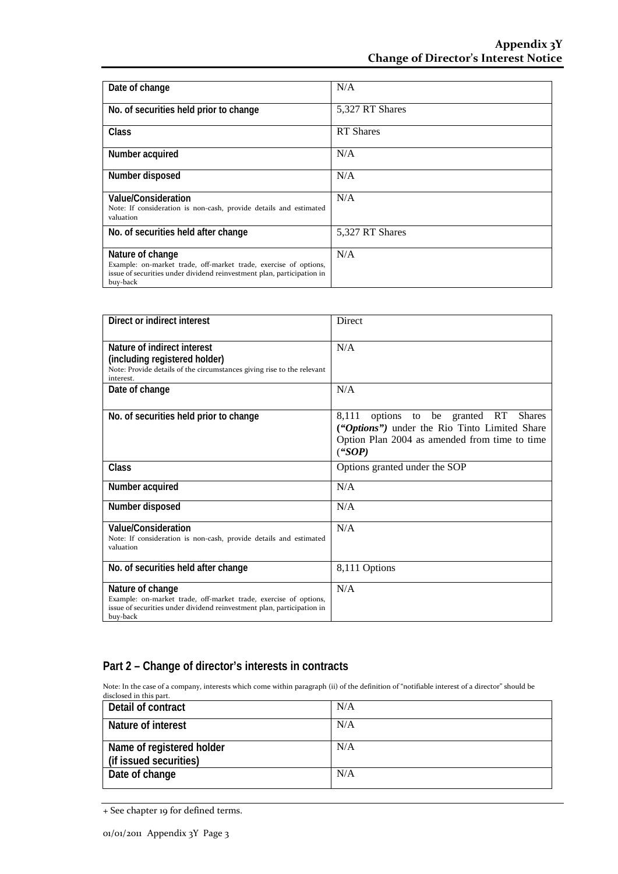| Date of change                                                                                                                                                             | N/A              |
|----------------------------------------------------------------------------------------------------------------------------------------------------------------------------|------------------|
| No. of securities held prior to change                                                                                                                                     | 5,327 RT Shares  |
| Class                                                                                                                                                                      | <b>RT</b> Shares |
| Number acquired                                                                                                                                                            | N/A              |
| Number disposed                                                                                                                                                            | N/A              |
| Value/Consideration<br>Note: If consideration is non-cash, provide details and estimated<br>valuation                                                                      | N/A              |
| No. of securities held after change                                                                                                                                        | 5,327 RT Shares  |
| Nature of change<br>Example: on-market trade, off-market trade, exercise of options,<br>issue of securities under dividend reinvestment plan, participation in<br>buy-back | N/A              |

| Direct or indirect interest                                                                                                                                                | Direct                                                                                                                                               |
|----------------------------------------------------------------------------------------------------------------------------------------------------------------------------|------------------------------------------------------------------------------------------------------------------------------------------------------|
| Nature of indirect interest<br>(including registered holder)<br>Note: Provide details of the circumstances giving rise to the relevant<br>interest.                        | N/A                                                                                                                                                  |
| Date of change                                                                                                                                                             | N/A                                                                                                                                                  |
| No. of securities held prior to change                                                                                                                                     | 8,111 options to be granted RT Shares<br>("Options") under the Rio Tinto Limited Share<br>Option Plan 2004 as amended from time to time<br>$($ "SOP) |
| Class                                                                                                                                                                      | Options granted under the SOP                                                                                                                        |
| Number acquired                                                                                                                                                            | N/A                                                                                                                                                  |
| Number disposed                                                                                                                                                            | N/A                                                                                                                                                  |
| <b>Value/Consideration</b><br>Note: If consideration is non-cash, provide details and estimated<br>valuation                                                               | N/A                                                                                                                                                  |
| No. of securities held after change                                                                                                                                        | 8,111 Options                                                                                                                                        |
| Nature of change<br>Example: on-market trade, off-market trade, exercise of options,<br>issue of securities under dividend reinvestment plan, participation in<br>buy-back | N/A                                                                                                                                                  |

### **Part 2 – Change of director's interests in contracts**

Note: In the case of a company, interests which come within paragraph (ii) of the definition of "notifiable interest of a director" should be disclosed in this part.

| Detail of contract                                  | N/A |
|-----------------------------------------------------|-----|
| Nature of interest                                  | N/A |
| Name of registered holder<br>(if issued securities) | N/A |
| Date of change                                      | N/A |

<sup>+</sup> See chapter 19 for defined terms.